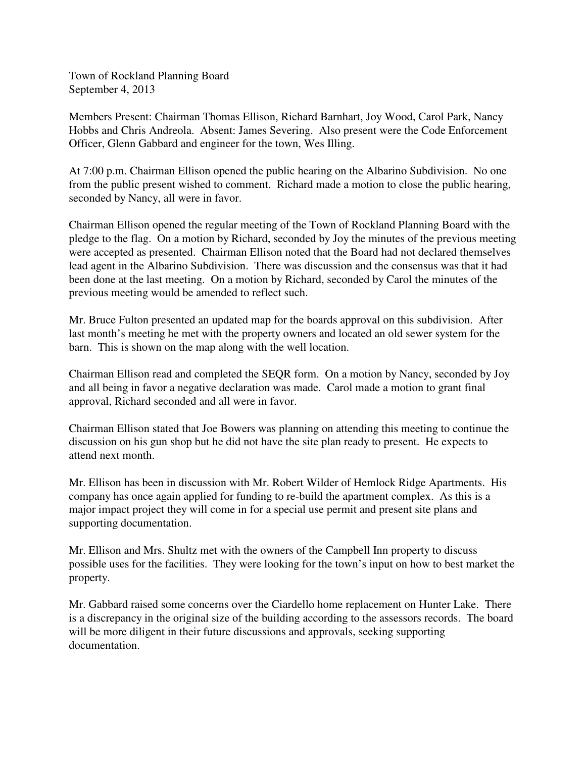Town of Rockland Planning Board September 4, 2013

Members Present: Chairman Thomas Ellison, Richard Barnhart, Joy Wood, Carol Park, Nancy Hobbs and Chris Andreola. Absent: James Severing. Also present were the Code Enforcement Officer, Glenn Gabbard and engineer for the town, Wes Illing.

At 7:00 p.m. Chairman Ellison opened the public hearing on the Albarino Subdivision. No one from the public present wished to comment. Richard made a motion to close the public hearing, seconded by Nancy, all were in favor.

Chairman Ellison opened the regular meeting of the Town of Rockland Planning Board with the pledge to the flag. On a motion by Richard, seconded by Joy the minutes of the previous meeting were accepted as presented. Chairman Ellison noted that the Board had not declared themselves lead agent in the Albarino Subdivision. There was discussion and the consensus was that it had been done at the last meeting. On a motion by Richard, seconded by Carol the minutes of the previous meeting would be amended to reflect such.

Mr. Bruce Fulton presented an updated map for the boards approval on this subdivision. After last month's meeting he met with the property owners and located an old sewer system for the barn. This is shown on the map along with the well location.

Chairman Ellison read and completed the SEQR form. On a motion by Nancy, seconded by Joy and all being in favor a negative declaration was made. Carol made a motion to grant final approval, Richard seconded and all were in favor.

Chairman Ellison stated that Joe Bowers was planning on attending this meeting to continue the discussion on his gun shop but he did not have the site plan ready to present. He expects to attend next month.

Mr. Ellison has been in discussion with Mr. Robert Wilder of Hemlock Ridge Apartments. His company has once again applied for funding to re-build the apartment complex. As this is a major impact project they will come in for a special use permit and present site plans and supporting documentation.

Mr. Ellison and Mrs. Shultz met with the owners of the Campbell Inn property to discuss possible uses for the facilities. They were looking for the town's input on how to best market the property.

Mr. Gabbard raised some concerns over the Ciardello home replacement on Hunter Lake. There is a discrepancy in the original size of the building according to the assessors records. The board will be more diligent in their future discussions and approvals, seeking supporting documentation.